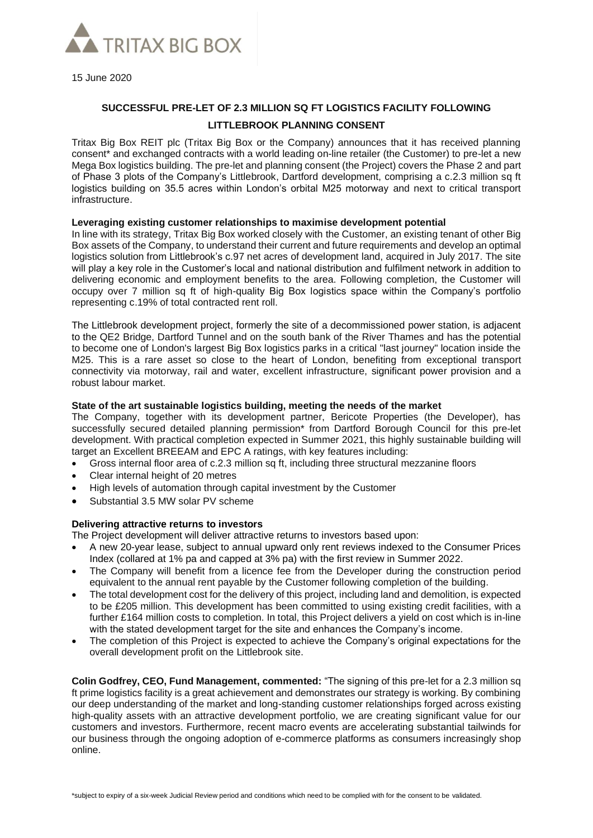

15 June 2020

# **SUCCESSFUL PRE-LET OF 2.3 MILLION SQ FT LOGISTICS FACILITY FOLLOWING LITTLEBROOK PLANNING CONSENT**

Tritax Big Box REIT plc (Tritax Big Box or the Company) announces that it has received planning consent\* and exchanged contracts with a world leading on-line retailer (the Customer) to pre-let a new Mega Box logistics building. The pre-let and planning consent (the Project) covers the Phase 2 and part of Phase 3 plots of the Company's Littlebrook, Dartford development, comprising a c.2.3 million sq ft logistics building on 35.5 acres within London's orbital M25 motorway and next to critical transport infrastructure.

# **Leveraging existing customer relationships to maximise development potential**

In line with its strategy, Tritax Big Box worked closely with the Customer, an existing tenant of other Big Box assets of the Company, to understand their current and future requirements and develop an optimal logistics solution from Littlebrook's c.97 net acres of development land, acquired in July 2017. The site will play a key role in the Customer's local and national distribution and fulfilment network in addition to delivering economic and employment benefits to the area. Following completion, the Customer will occupy over 7 million sq ft of high-quality Big Box logistics space within the Company's portfolio representing c.19% of total contracted rent roll.

The Littlebrook development project, formerly the site of a decommissioned power station, is adjacent to the QE2 Bridge, Dartford Tunnel and on the south bank of the River Thames and has the potential to become one of London's largest Big Box logistics parks in a critical "last journey" location inside the M25. This is a rare asset so close to the heart of London, benefiting from exceptional transport connectivity via motorway, rail and water, excellent infrastructure, significant power provision and a robust labour market.

# **State of the art sustainable logistics building, meeting the needs of the market**

The Company, together with its development partner, Bericote Properties (the Developer), has successfully secured detailed planning permission<sup>\*</sup> from Dartford Borough Council for this pre-let development. With practical completion expected in Summer 2021, this highly sustainable building will target an Excellent BREEAM and EPC A ratings, with key features including:

- Gross internal floor area of c.2.3 million sq ft, including three structural mezzanine floors
- Clear internal height of 20 metres
- High levels of automation through capital investment by the Customer
- Substantial 3.5 MW solar PV scheme

#### **Delivering attractive returns to investors**

The Project development will deliver attractive returns to investors based upon:

- A new 20-year lease, subject to annual upward only rent reviews indexed to the Consumer Prices Index (collared at 1% pa and capped at 3% pa) with the first review in Summer 2022.
- The Company will benefit from a licence fee from the Developer during the construction period equivalent to the annual rent payable by the Customer following completion of the building.
- The total development cost for the delivery of this project, including land and demolition, is expected to be £205 million. This development has been committed to using existing credit facilities, with a further £164 million costs to completion. In total, this Project delivers a yield on cost which is in-line with the stated development target for the site and enhances the Company's income.
- The completion of this Project is expected to achieve the Company's original expectations for the overall development profit on the Littlebrook site.

**Colin Godfrey, CEO, Fund Management, commented:** "The signing of this pre-let for a 2.3 million sq ft prime logistics facility is a great achievement and demonstrates our strategy is working. By combining our deep understanding of the market and long-standing customer relationships forged across existing high-quality assets with an attractive development portfolio, we are creating significant value for our customers and investors. Furthermore, recent macro events are accelerating substantial tailwinds for our business through the ongoing adoption of e-commerce platforms as consumers increasingly shop online.